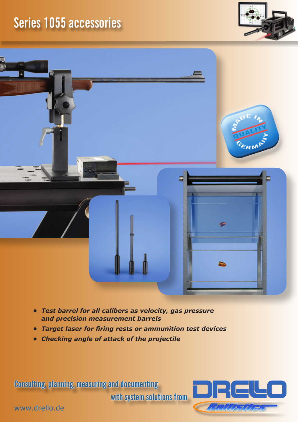## **Series 1055 accessories**





- *• Test barrel for all calibers as velocity, gas pressure and precision measurement barrels*
- *• Target laser for firing rests or ammunition test devices*
- *• Checking angle of attack of the projectile*

**Consulting, planning, measuring and documenting** 

**with system solutions from**



www.drello.de